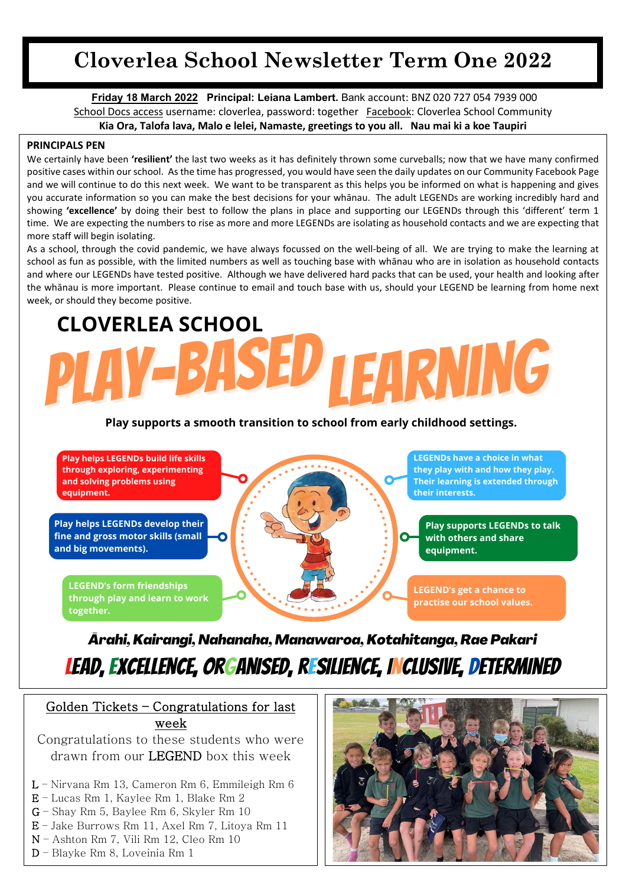## **Cloverlea School Newsletter Term One 2022**

**Friday 18 March 2022 Principal: Leiana Lambert.** Bank account: BNZ 020 727 054 7939 000 School Docs access username: cloverlea, password: together Facebook: Cloverlea School Community **Kia Ora, Talofa lava, Malo e lelei, Namaste, greetings to you all. Nau mai ki a koe Taupiri**

#### **PRINCIPALS PEN**

We certainly have been **'resilient'** the last two weeks as it has definitely thrown some curveballs; now that we have many confirmed positive cases within our school. As the time has progressed, you would have seen the daily updates on our Community Facebook Page and we will continue to do this next week. We want to be transparent as this helps you be informed on what is happening and gives you accurate information so you can make the best decisions for your whānau. The adult LEGENDs are working incredibly hard and showing **'excellence'** by doing their best to follow the plans in place and supporting our LEGENDs through this 'different' term 1 time. We are expecting the numbers to rise as more and more LEGENDs are isolating as household contacts and we are expecting that more staff will begin isolating.

As a school, through the covid pandemic, we have always focussed on the well-being of all. We are trying to make the learning at school as fun as possible, with the limited numbers as well as touching base with whānau who are in isolation as household contacts and where our LEGENDs have tested positive. Although we have delivered hard packs that can be used, your health and looking after the whānau is more important. Please continue to email and touch base with us, should your LEGEND be learning from home next week, or should they become positive.

# **CLOVERLEA SCHOOL TEARNING**

#### **Play supports a smooth transition to school from early childhood settings.**



## *Ārahi, Kairangi, Nahanaha, Manawaroa, Kotahitanga, Rae Pakari* Lead, Excellence, orGanised, rEsilience, iNclusive, Determined

Golden Tickets – Congratulations for last week

Congratulations to these students who were drawn from our LEGEND box this week

- L Nirvana Rm 13, Cameron Rm 6, Emmileigh Rm 6
- E Lucas Rm 1, Kaylee Rm 1, Blake Rm 2
- G Shay Rm 5, Baylee Rm 6, Skyler Rm 10
- E Jake Burrows Rm 11, Axel Rm 7, Litoya Rm 11
- N Ashton Rm 7, Vili Rm 12, Cleo Rm 10
- D Blayke Rm 8, Loveinia Rm 1